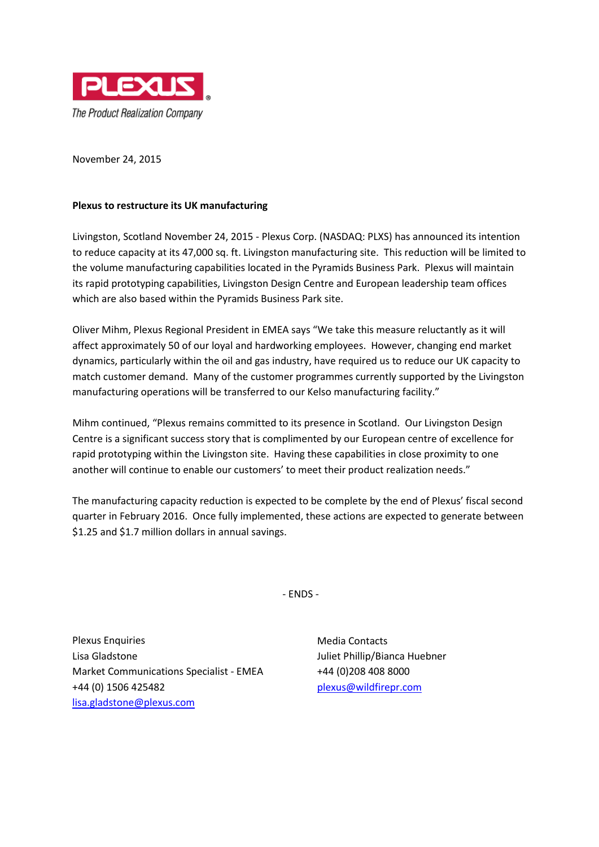

November 24, 2015

## **Plexus to restructure its UK manufacturing**

Livingston, Scotland November 24, 2015 - Plexus Corp. (NASDAQ: PLXS) has announced its intention to reduce capacity at its 47,000 sq. ft. Livingston manufacturing site. This reduction will be limited to the volume manufacturing capabilities located in the Pyramids Business Park. Plexus will maintain its rapid prototyping capabilities, Livingston Design Centre and European leadership team offices which are also based within the Pyramids Business Park site.

Oliver Mihm, Plexus Regional President in EMEA says "We take this measure reluctantly as it will affect approximately 50 of our loyal and hardworking employees. However, changing end market dynamics, particularly within the oil and gas industry, have required us to reduce our UK capacity to match customer demand. Many of the customer programmes currently supported by the Livingston manufacturing operations will be transferred to our Kelso manufacturing facility."

Mihm continued, "Plexus remains committed to its presence in Scotland. Our Livingston Design Centre is a significant success story that is complimented by our European centre of excellence for rapid prototyping within the Livingston site. Having these capabilities in close proximity to one another will continue to enable our customers' to meet their product realization needs."

The manufacturing capacity reduction is expected to be complete by the end of Plexus' fiscal second quarter in February 2016. Once fully implemented, these actions are expected to generate between \$1.25 and \$1.7 million dollars in annual savings.

- ENDS -

Plexus Enquiries Lisa Gladstone Market Communications Specialist - EMEA +44 (0) 1506 425482 [lisa.gladstone@plexus.com](mailto:lisa.gladstone@plexus.com)

Media Contacts Juliet Phillip/Bianca Huebner +44 (0)208 408 8000 [plexus@wildfirepr.com](mailto:plexus@wildfirepr.com)